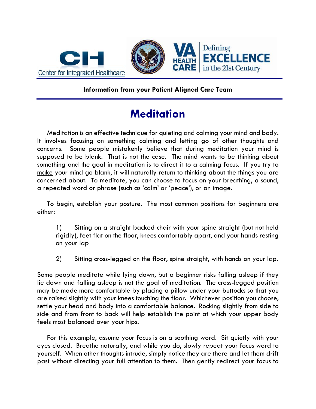

## **Information from your Patient Aligned Care Team**

## **Meditation**

 Meditation is an effective technique for quieting and calming your mind and body. It involves focusing on something calming and letting go of other thoughts and concerns. Some people mistakenly believe that during meditation your mind is supposed to be blank. That is not the case. The mind wants to be thinking about something and the goal in meditation is to direct it to a calming focus. If you try to make your mind go blank, it will naturally return to thinking about the things you are concerned about. To meditate, you can choose to focus on your breathing, a sound, a repeated word or phrase (such as 'calm' or 'peace'), or an image.

 To begin, establish your posture. The most common positions for beginners are either:

1) Sitting on a straight backed chair with your spine straight (but not held rigidly), feet flat on the floor, knees comfortably apart, and your hands resting on your lap

2) Sitting cross-legged on the floor, spine straight, with hands on your lap.

Some people meditate while lying down, but a beginner risks falling asleep if they lie down and falling asleep is not the goal of meditation. The cross-legged position may be made more comfortable by placing a pillow under your buttocks so that you are raised slightly with your knees touching the floor. Whichever position you choose, settle your head and body into a comfortable balance. Rocking slightly from side to side and from front to back will help establish the point at which your upper body feels most balanced over your hips.

 For this example, assume your focus is on a soothing word. Sit quietly with your eyes closed. Breathe naturally, and while you do, slowly repeat your focus word to yourself. When other thoughts intrude, simply notice they are there and let them drift past without directing your full attention to them. Then gently redirect your focus to